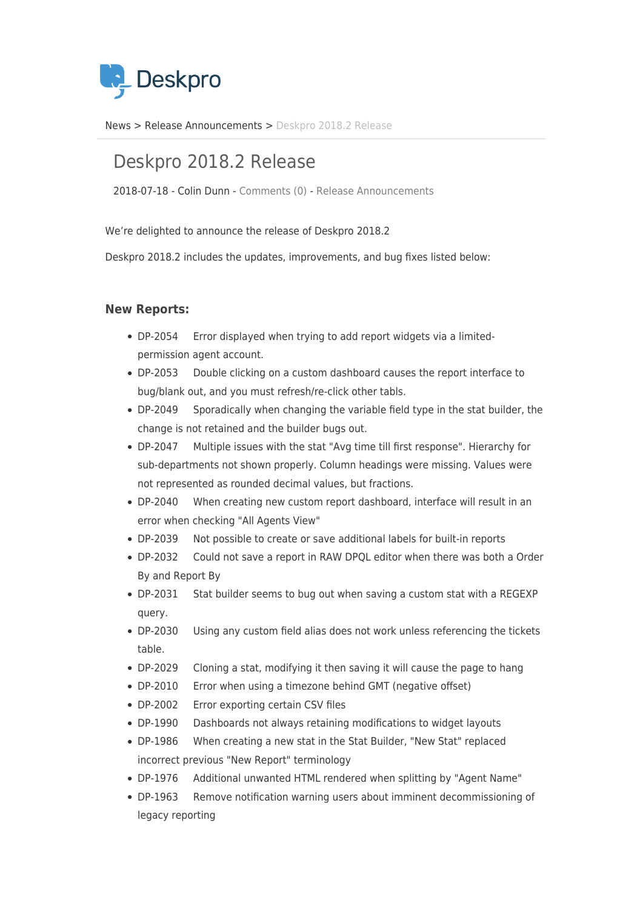

[News](https://support.deskpro.com/vi/news) > [Release Announcements](https://support.deskpro.com/vi/news/release-announcements) > [Deskpro 2018.2 Release](https://support.deskpro.com/vi/news/posts/deskpro-2018-2-release)

# Deskpro 2018.2 Release

2018-07-18 - Colin Dunn - [Comments \(0\)](#page--1-0) - [Release Announcements](https://support.deskpro.com/vi/news/release-announcements)

We're delighted to announce the release of Deskpro 2018.2

Deskpro 2018.2 includes the updates, improvements, and bug fixes listed below:

## **New Reports:**

- DP-2054 Error displayed when trying to add report widgets via a limitedpermission agent account.
- DP-2053 Double clicking on a custom dashboard causes the report interface to bug/blank out, and you must refresh/re-click other tabls.
- DP-2049 Sporadically when changing the variable field type in the stat builder, the change is not retained and the builder bugs out.
- DP-2047 Multiple issues with the stat "Avg time till first response". Hierarchy for sub-departments not shown properly. Column headings were missing. Values were not represented as rounded decimal values, but fractions.
- DP-2040 When creating new custom report dashboard, interface will result in an error when checking "All Agents View"
- DP-2039 Not possible to create or save additional labels for built-in reports
- DP-2032 Could not save a report in RAW DPQL editor when there was both a Order By and Report By
- DP-2031 Stat builder seems to bug out when saving a custom stat with a REGEXP query.
- DP-2030 Using any custom field alias does not work unless referencing the tickets table.
- DP-2029 Cloning a stat, modifying it then saving it will cause the page to hang
- DP-2010 Error when using a timezone behind GMT (negative offset)
- DP-2002 Error exporting certain CSV files
- DP-1990 Dashboards not always retaining modifications to widget layouts
- DP-1986 When creating a new stat in the Stat Builder, "New Stat" replaced incorrect previous "New Report" terminology
- DP-1976 Additional unwanted HTML rendered when splitting by "Agent Name"
- DP-1963 Remove notification warning users about imminent decommissioning of legacy reporting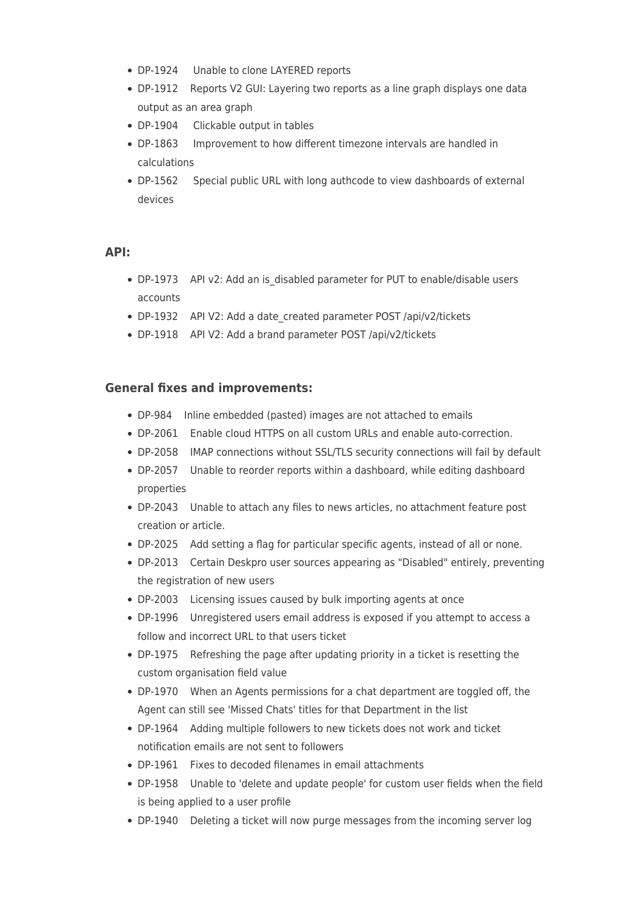- DP-1924 Unable to clone LAYERED reports
- DP-1912 Reports V2 GUI: Layering two reports as a line graph displays one data output as an area graph
- DP-1904 Clickable output in tables
- DP-1863 Improvement to how different timezone intervals are handled in calculations
- DP-1562 Special public URL with long authcode to view dashboards of external devices

### **API:**

- DP-1973 API v2: Add an is\_disabled parameter for PUT to enable/disable users accounts
- DP-1932 API V2: Add a date created parameter POST /api/v2/tickets
- DP-1918 API V2: Add a brand parameter POST /api/v2/tickets

### **General fixes and improvements:**

- DP-984 Inline embedded (pasted) images are not attached to emails
- DP-2061 Enable cloud HTTPS on all custom URLs and enable auto-correction.
- DP-2058 IMAP connections without SSL/TLS security connections will fail by default
- DP-2057 Unable to reorder reports within a dashboard, while editing dashboard properties
- DP-2043 Unable to attach any files to news articles, no attachment feature post creation or article.
- DP-2025 Add setting a flag for particular specific agents, instead of all or none.
- DP-2013 Certain Deskpro user sources appearing as "Disabled" entirely, preventing the registration of new users
- DP-2003 Licensing issues caused by bulk importing agents at once
- DP-1996 Unregistered users email address is exposed if you attempt to access a follow and incorrect URL to that users ticket
- DP-1975 Refreshing the page after updating priority in a ticket is resetting the custom organisation field value
- DP-1970 When an Agents permissions for a chat department are toggled off, the Agent can still see 'Missed Chats' titles for that Department in the list
- DP-1964 Adding multiple followers to new tickets does not work and ticket notification emails are not sent to followers
- DP-1961 Fixes to decoded filenames in email attachments
- DP-1958 Unable to 'delete and update people' for custom user fields when the field is being applied to a user profile
- DP-1940 Deleting a ticket will now purge messages from the incoming server log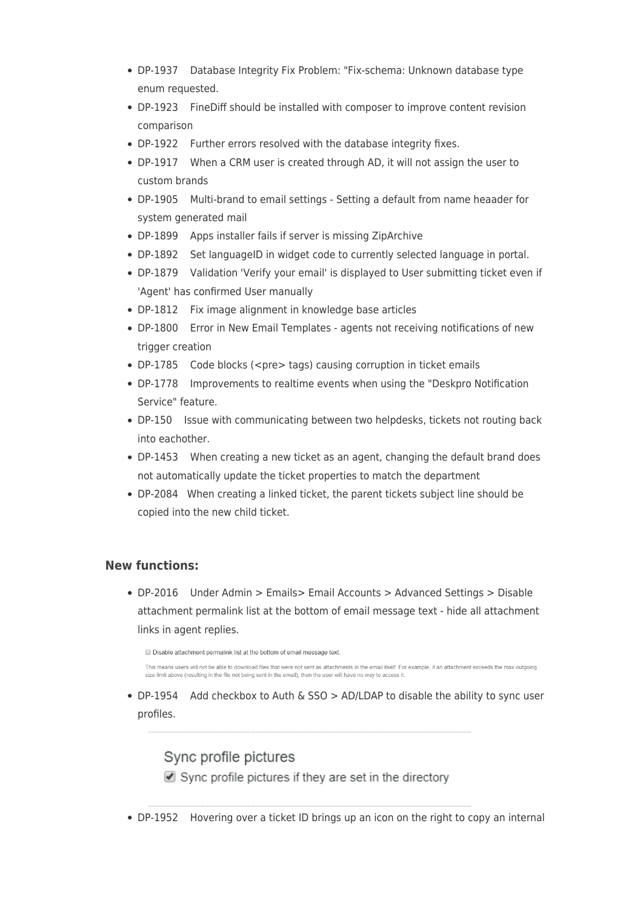- DP-1937 Database Integrity Fix Problem: "Fix-schema: Unknown database type enum requested.
- DP-1923 FineDiff should be installed with composer to improve content revision comparison
- DP-1922 Further errors resolved with the database integrity fixes.
- DP-1917 When a CRM user is created through AD, it will not assign the user to custom brands
- DP-1905 Multi-brand to email settings Setting a default from name heaader for system generated mail
- DP-1899 Apps installer fails if server is missing ZipArchive
- DP-1892 Set languageID in widget code to currently selected language in portal.
- DP-1879 Validation 'Verify your email' is displayed to User submitting ticket even if 'Agent' has confirmed User manually
- DP-1812 Fix image alignment in knowledge base articles
- DP-1800 Error in New Email Templates agents not receiving notifications of new trigger creation
- DP-1785 Code blocks (<pre> tags) causing corruption in ticket emails
- DP-1778 Improvements to realtime events when using the "Deskpro Notification Service" feature.
- DP-150 Issue with communicating between two helpdesks, tickets not routing back into eachother.
- DP-1453 When creating a new ticket as an agent, changing the default brand does not automatically update the ticket properties to match the department
- DP-2084 When creating a linked ticket, the parent tickets subject line should be copied into the new child ticket.

## **New functions:**

DP-2016 Under Admin > Emails> Email Accounts > Advanced Settings > Disable attachment permalink list at the bottom of email message text - hide all attachment links in agent replies.

Disable attachment permalink list at the bottom of email message text.

This means users will not be able to download files that were not sent as attachments in the email itself. For example, if an attachment exceeds the max outgoing size limit above (resulting in the file not being sent in the email), then the user will have no way to access it

• DP-1954 Add checkbox to Auth  $\&$  SSO > AD/LDAP to disable the ability to sync user profiles.

## Sync profile pictures

■ Sync profile pictures if they are set in the directory

DP-1952 Hovering over a ticket ID brings up an icon on the right to copy an internal